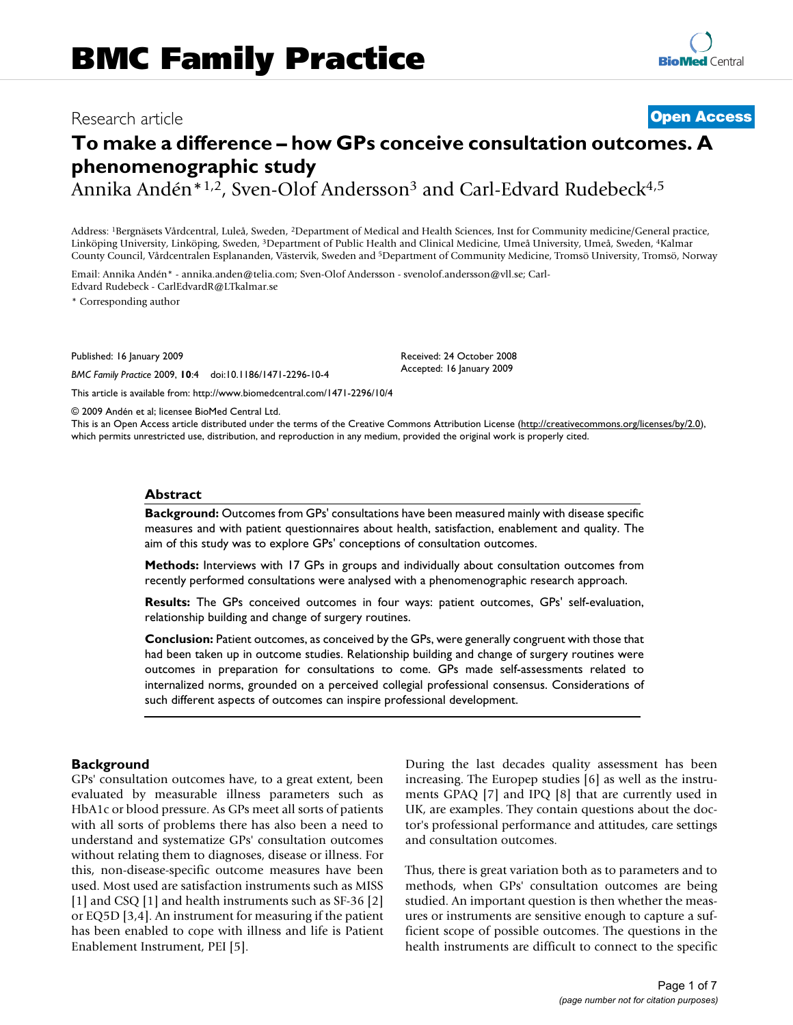## Research article **[Open Access](http://www.biomedcentral.com/info/about/charter/)**

# **To make a difference – how GPs conceive consultation outcomes. A phenomenographic study**

Annika Andén\*<sup>1,2</sup>, Sven-Olof Andersson<sup>3</sup> and Carl-Edvard Rudebeck<sup>4,5</sup>

Address: 1Bergnäsets Vårdcentral, Luleå, Sweden, 2Department of Medical and Health Sciences, Inst for Community medicine/General practice, Linköping University, Linköping, Sweden, 3Department of Public Health and Clinical Medicine, Umeå University, Umeå, Sweden, 4Kalmar County Council, Vårdcentralen Esplananden, Västervik, Sweden and 5Department of Community Medicine, Tromsö University, Tromsö, Norway

Email: Annika Andén\* - annika.anden@telia.com; Sven-Olof Andersson - svenolof.andersson@vll.se; Carl-Edvard Rudebeck - CarlEdvardR@LTkalmar.se

\* Corresponding author

Published: 16 January 2009

*BMC Family Practice* 2009, **10**:4 doi:10.1186/1471-2296-10-4

[This article is available from: http://www.biomedcentral.com/1471-2296/10/4](http://www.biomedcentral.com/1471-2296/10/4)

© 2009 Andén et al; licensee BioMed Central Ltd.

This is an Open Access article distributed under the terms of the Creative Commons Attribution License [\(http://creativecommons.org/licenses/by/2.0\)](http://creativecommons.org/licenses/by/2.0), which permits unrestricted use, distribution, and reproduction in any medium, provided the original work is properly cited.

Received: 24 October 2008 Accepted: 16 January 2009

#### **Abstract**

**Background:** Outcomes from GPs' consultations have been measured mainly with disease specific measures and with patient questionnaires about health, satisfaction, enablement and quality. The aim of this study was to explore GPs' conceptions of consultation outcomes.

**Methods:** Interviews with 17 GPs in groups and individually about consultation outcomes from recently performed consultations were analysed with a phenomenographic research approach.

**Results:** The GPs conceived outcomes in four ways: patient outcomes, GPs' self-evaluation, relationship building and change of surgery routines.

**Conclusion:** Patient outcomes, as conceived by the GPs, were generally congruent with those that had been taken up in outcome studies. Relationship building and change of surgery routines were outcomes in preparation for consultations to come. GPs made self-assessments related to internalized norms, grounded on a perceived collegial professional consensus. Considerations of such different aspects of outcomes can inspire professional development.

#### **Background**

GPs' consultation outcomes have, to a great extent, been evaluated by measurable illness parameters such as HbA1c or blood pressure. As GPs meet all sorts of patients with all sorts of problems there has also been a need to understand and systematize GPs' consultation outcomes without relating them to diagnoses, disease or illness. For this, non-disease-specific outcome measures have been used. Most used are satisfaction instruments such as MISS [1] and CSQ [1] and health instruments such as SF-36 [2] or EQ5D [3,4]. An instrument for measuring if the patient has been enabled to cope with illness and life is Patient Enablement Instrument, PEI [5].

During the last decades quality assessment has been increasing. The Europep studies [6] as well as the instruments GPAQ [7] and IPQ [8] that are currently used in UK, are examples. They contain questions about the doctor's professional performance and attitudes, care settings and consultation outcomes.

Thus, there is great variation both as to parameters and to methods, when GPs' consultation outcomes are being studied. An important question is then whether the measures or instruments are sensitive enough to capture a sufficient scope of possible outcomes. The questions in the health instruments are difficult to connect to the specific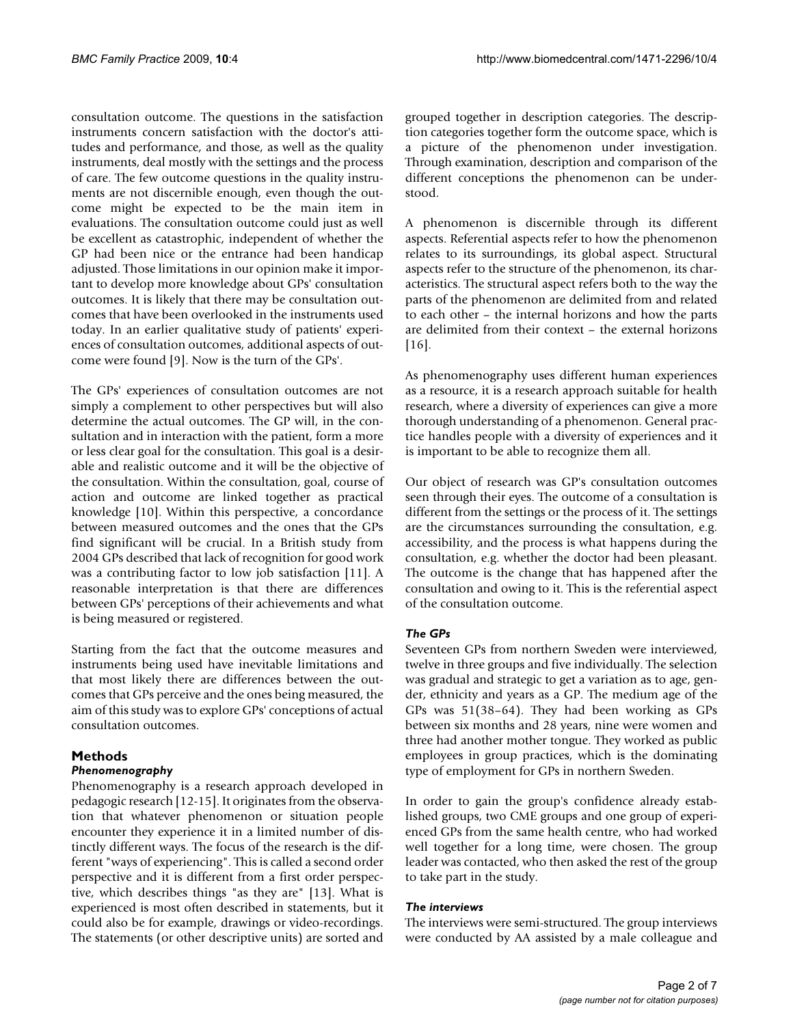consultation outcome. The questions in the satisfaction instruments concern satisfaction with the doctor's attitudes and performance, and those, as well as the quality instruments, deal mostly with the settings and the process of care. The few outcome questions in the quality instruments are not discernible enough, even though the outcome might be expected to be the main item in evaluations. The consultation outcome could just as well be excellent as catastrophic, independent of whether the GP had been nice or the entrance had been handicap adjusted. Those limitations in our opinion make it important to develop more knowledge about GPs' consultation outcomes. It is likely that there may be consultation outcomes that have been overlooked in the instruments used today. In an earlier qualitative study of patients' experiences of consultation outcomes, additional aspects of outcome were found [9]. Now is the turn of the GPs'.

The GPs' experiences of consultation outcomes are not simply a complement to other perspectives but will also determine the actual outcomes. The GP will, in the consultation and in interaction with the patient, form a more or less clear goal for the consultation. This goal is a desirable and realistic outcome and it will be the objective of the consultation. Within the consultation, goal, course of action and outcome are linked together as practical knowledge [10]. Within this perspective, a concordance between measured outcomes and the ones that the GPs find significant will be crucial. In a British study from 2004 GPs described that lack of recognition for good work was a contributing factor to low job satisfaction [11]. A reasonable interpretation is that there are differences between GPs' perceptions of their achievements and what is being measured or registered.

Starting from the fact that the outcome measures and instruments being used have inevitable limitations and that most likely there are differences between the outcomes that GPs perceive and the ones being measured, the aim of this study was to explore GPs' conceptions of actual consultation outcomes.

## **Methods**

## *Phenomenography*

Phenomenography is a research approach developed in pedagogic research [12-15]. It originates from the observation that whatever phenomenon or situation people encounter they experience it in a limited number of distinctly different ways. The focus of the research is the different "ways of experiencing". This is called a second order perspective and it is different from a first order perspective, which describes things "as they are" [13]. What is experienced is most often described in statements, but it could also be for example, drawings or video-recordings. The statements (or other descriptive units) are sorted and

grouped together in description categories. The description categories together form the outcome space, which is a picture of the phenomenon under investigation. Through examination, description and comparison of the different conceptions the phenomenon can be understood.

A phenomenon is discernible through its different aspects. Referential aspects refer to how the phenomenon relates to its surroundings, its global aspect. Structural aspects refer to the structure of the phenomenon, its characteristics. The structural aspect refers both to the way the parts of the phenomenon are delimited from and related to each other – the internal horizons and how the parts are delimited from their context – the external horizons [16].

As phenomenography uses different human experiences as a resource, it is a research approach suitable for health research, where a diversity of experiences can give a more thorough understanding of a phenomenon. General practice handles people with a diversity of experiences and it is important to be able to recognize them all.

Our object of research was GP's consultation outcomes seen through their eyes. The outcome of a consultation is different from the settings or the process of it. The settings are the circumstances surrounding the consultation, e.g. accessibility, and the process is what happens during the consultation, e.g. whether the doctor had been pleasant. The outcome is the change that has happened after the consultation and owing to it. This is the referential aspect of the consultation outcome.

## *The GPs*

Seventeen GPs from northern Sweden were interviewed, twelve in three groups and five individually. The selection was gradual and strategic to get a variation as to age, gender, ethnicity and years as a GP. The medium age of the GPs was 51(38–64). They had been working as GPs between six months and 28 years, nine were women and three had another mother tongue. They worked as public employees in group practices, which is the dominating type of employment for GPs in northern Sweden.

In order to gain the group's confidence already established groups, two CME groups and one group of experienced GPs from the same health centre, who had worked well together for a long time, were chosen. The group leader was contacted, who then asked the rest of the group to take part in the study.

## *The interviews*

The interviews were semi-structured. The group interviews were conducted by AA assisted by a male colleague and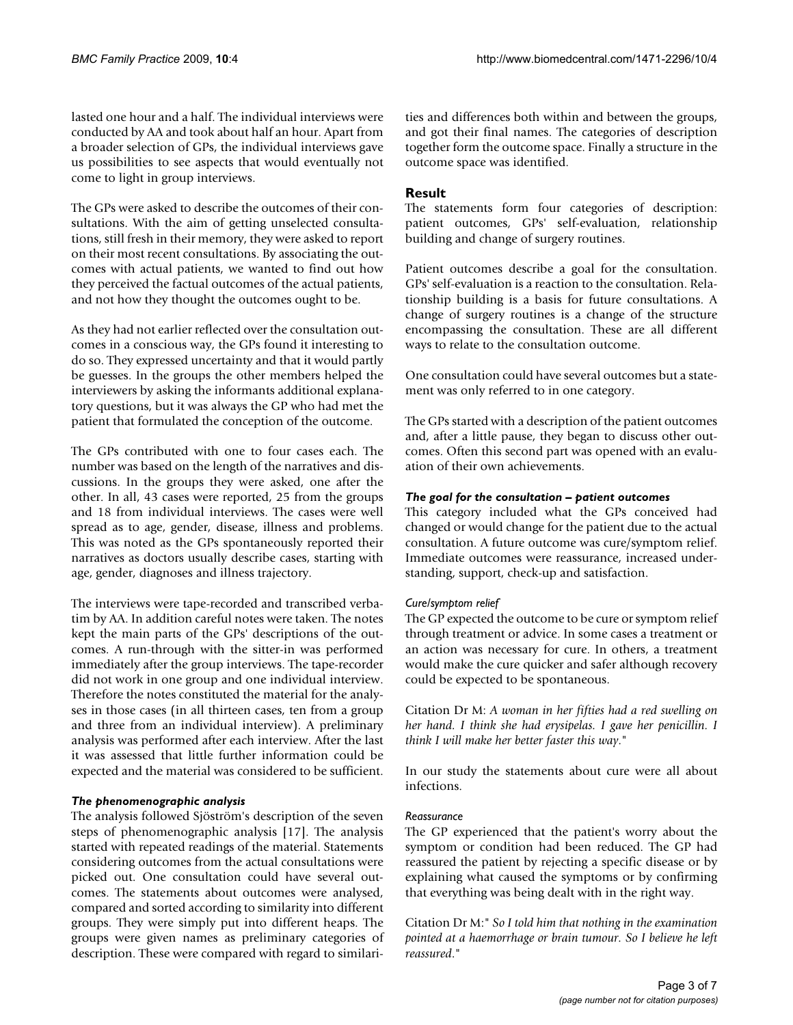lasted one hour and a half. The individual interviews were conducted by AA and took about half an hour. Apart from a broader selection of GPs, the individual interviews gave us possibilities to see aspects that would eventually not come to light in group interviews.

The GPs were asked to describe the outcomes of their consultations. With the aim of getting unselected consultations, still fresh in their memory, they were asked to report on their most recent consultations. By associating the outcomes with actual patients, we wanted to find out how they perceived the factual outcomes of the actual patients, and not how they thought the outcomes ought to be.

As they had not earlier reflected over the consultation outcomes in a conscious way, the GPs found it interesting to do so. They expressed uncertainty and that it would partly be guesses. In the groups the other members helped the interviewers by asking the informants additional explanatory questions, but it was always the GP who had met the patient that formulated the conception of the outcome.

The GPs contributed with one to four cases each. The number was based on the length of the narratives and discussions. In the groups they were asked, one after the other. In all, 43 cases were reported, 25 from the groups and 18 from individual interviews. The cases were well spread as to age, gender, disease, illness and problems. This was noted as the GPs spontaneously reported their narratives as doctors usually describe cases, starting with age, gender, diagnoses and illness trajectory.

The interviews were tape-recorded and transcribed verbatim by AA. In addition careful notes were taken. The notes kept the main parts of the GPs' descriptions of the outcomes. A run-through with the sitter-in was performed immediately after the group interviews. The tape-recorder did not work in one group and one individual interview. Therefore the notes constituted the material for the analyses in those cases (in all thirteen cases, ten from a group and three from an individual interview). A preliminary analysis was performed after each interview. After the last it was assessed that little further information could be expected and the material was considered to be sufficient.

#### *The phenomenographic analysis*

The analysis followed Sjöström's description of the seven steps of phenomenographic analysis [17]. The analysis started with repeated readings of the material. Statements considering outcomes from the actual consultations were picked out. One consultation could have several outcomes. The statements about outcomes were analysed, compared and sorted according to similarity into different groups. They were simply put into different heaps. The groups were given names as preliminary categories of description. These were compared with regard to similarities and differences both within and between the groups, and got their final names. The categories of description together form the outcome space. Finally a structure in the outcome space was identified.

#### **Result**

The statements form four categories of description: patient outcomes, GPs' self-evaluation, relationship building and change of surgery routines.

Patient outcomes describe a goal for the consultation. GPs' self-evaluation is a reaction to the consultation. Relationship building is a basis for future consultations. A change of surgery routines is a change of the structure encompassing the consultation. These are all different ways to relate to the consultation outcome.

One consultation could have several outcomes but a statement was only referred to in one category.

The GPs started with a description of the patient outcomes and, after a little pause, they began to discuss other outcomes. Often this second part was opened with an evaluation of their own achievements.

#### *The goal for the consultation – patient outcomes*

This category included what the GPs conceived had changed or would change for the patient due to the actual consultation. A future outcome was cure/symptom relief. Immediate outcomes were reassurance, increased understanding, support, check-up and satisfaction.

#### *Cure/symptom relief*

The GP expected the outcome to be cure or symptom relief through treatment or advice. In some cases a treatment or an action was necessary for cure. In others, a treatment would make the cure quicker and safer although recovery could be expected to be spontaneous.

Citation Dr M: *A woman in her fifties had a red swelling on her hand. I think she had erysipelas. I gave her penicillin. I think I will make her better faster this way*."

In our study the statements about cure were all about infections.

#### *Reassurance*

The GP experienced that the patient's worry about the symptom or condition had been reduced. The GP had reassured the patient by rejecting a specific disease or by explaining what caused the symptoms or by confirming that everything was being dealt with in the right way.

Citation Dr M:" *So I told him that nothing in the examination pointed at a haemorrhage or brain tumour. So I believe he left reassured*."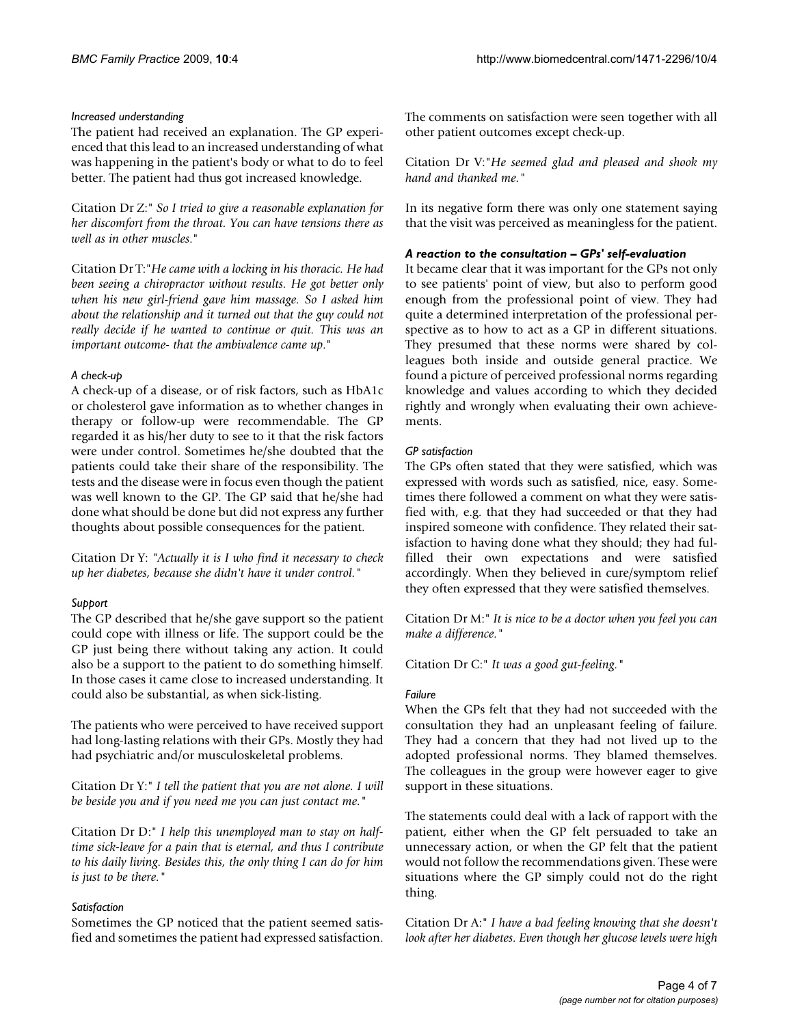#### *Increased understanding*

The patient had received an explanation. The GP experienced that this lead to an increased understanding of what was happening in the patient's body or what to do to feel better. The patient had thus got increased knowledge.

Citation Dr Z:" *So I tried to give a reasonable explanation for her discomfort from the throat. You can have tensions there as well as in other muscles*."

Citation Dr T:"*He came with a locking in his thoracic. He had been seeing a chiropractor without results. He got better only when his new girl-friend gave him massage. So I asked him about the relationship and it turned out that the guy could not really decide if he wanted to continue or quit. This was an important outcome- that the ambivalence came up*."

## *A check-up*

A check-up of a disease, or of risk factors, such as HbA1c or cholesterol gave information as to whether changes in therapy or follow-up were recommendable. The GP regarded it as his/her duty to see to it that the risk factors were under control. Sometimes he/she doubted that the patients could take their share of the responsibility. The tests and the disease were in focus even though the patient was well known to the GP. The GP said that he/she had done what should be done but did not express any further thoughts about possible consequences for the patient.

Citation Dr Y: *"Actually it is I who find it necessary to check up her diabetes, because she didn't have it under control."*

## *Support*

The GP described that he/she gave support so the patient could cope with illness or life. The support could be the GP just being there without taking any action. It could also be a support to the patient to do something himself. In those cases it came close to increased understanding. It could also be substantial, as when sick-listing.

The patients who were perceived to have received support had long-lasting relations with their GPs. Mostly they had had psychiatric and/or musculoskeletal problems.

Citation Dr Y:" *I tell the patient that you are not alone. I will be beside you and if you need me you can just contact me."*

Citation Dr D:" *I help this unemployed man to stay on halftime sick-leave for a pain that is eternal, and thus I contribute to his daily living. Besides this, the only thing I can do for him is just to be there."*

## *Satisfaction*

Sometimes the GP noticed that the patient seemed satisfied and sometimes the patient had expressed satisfaction. The comments on satisfaction were seen together with all other patient outcomes except check-up.

Citation Dr V:"*He seemed glad and pleased and shook my hand and thanked me."*

In its negative form there was only one statement saying that the visit was perceived as meaningless for the patient.

## *A reaction to the consultation – GPs' self-evaluation*

It became clear that it was important for the GPs not only to see patients' point of view, but also to perform good enough from the professional point of view. They had quite a determined interpretation of the professional perspective as to how to act as a GP in different situations. They presumed that these norms were shared by colleagues both inside and outside general practice. We found a picture of perceived professional norms regarding knowledge and values according to which they decided rightly and wrongly when evaluating their own achievements.

## *GP satisfaction*

The GPs often stated that they were satisfied, which was expressed with words such as satisfied, nice, easy. Sometimes there followed a comment on what they were satisfied with, e.g. that they had succeeded or that they had inspired someone with confidence. They related their satisfaction to having done what they should; they had fulfilled their own expectations and were satisfied accordingly. When they believed in cure/symptom relief they often expressed that they were satisfied themselves.

Citation Dr M:" *It is nice to be a doctor when you feel you can make a difference."*

Citation Dr C:" *It was a good gut-feeling."*

## *Failure*

When the GPs felt that they had not succeeded with the consultation they had an unpleasant feeling of failure. They had a concern that they had not lived up to the adopted professional norms. They blamed themselves. The colleagues in the group were however eager to give support in these situations.

The statements could deal with a lack of rapport with the patient, either when the GP felt persuaded to take an unnecessary action, or when the GP felt that the patient would not follow the recommendations given. These were situations where the GP simply could not do the right thing.

Citation Dr A:" *I have a bad feeling knowing that she doesn't look after her diabetes. Even though her glucose levels were high*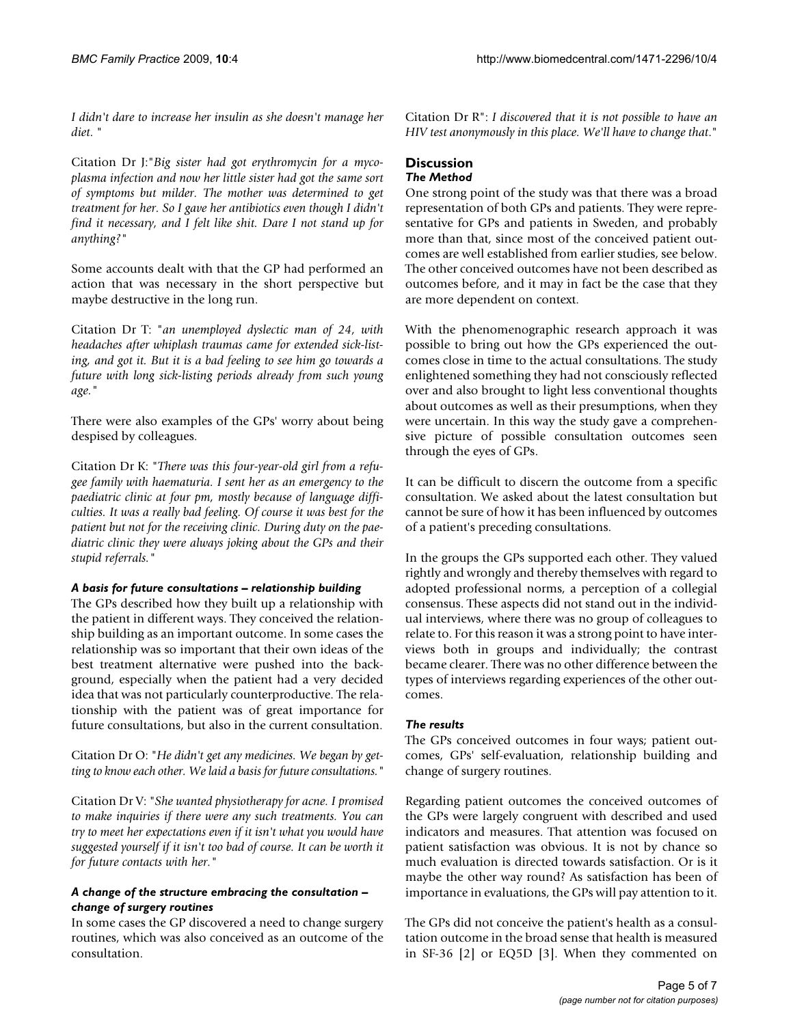*I didn't dare to increase her insulin as she doesn't manage her diet*. "

Citation Dr J:"*Big sister had got erythromycin for a mycoplasma infection and now her little sister had got the same sort of symptoms but milder. The mother was determined to get treatment for her. So I gave her antibiotics even though I didn't find it necessary, and I felt like shit. Dare I not stand up for anything?"*

Some accounts dealt with that the GP had performed an action that was necessary in the short perspective but maybe destructive in the long run.

Citation Dr T: "*an unemployed dyslectic man of 24, with headaches after whiplash traumas came for extended sick-listing, and got it. But it is a bad feeling to see him go towards a future with long sick-listing periods already from such young age."*

There were also examples of the GPs' worry about being despised by colleagues.

Citation Dr K: "*There was this four-year-old girl from a refugee family with haematuria. I sent her as an emergency to the paediatric clinic at four pm, mostly because of language difficulties. It was a really bad feeling. Of course it was best for the patient but not for the receiving clinic. During duty on the paediatric clinic they were always joking about the GPs and their stupid referrals."*

## *A basis for future consultations – relationship building*

The GPs described how they built up a relationship with the patient in different ways. They conceived the relationship building as an important outcome. In some cases the relationship was so important that their own ideas of the best treatment alternative were pushed into the background, especially when the patient had a very decided idea that was not particularly counterproductive. The relationship with the patient was of great importance for future consultations, but also in the current consultation.

Citation Dr O: "*He didn't get any medicines. We began by getting to know each other. We laid a basis for future consultations."*

Citation Dr V: "*She wanted physiotherapy for acne. I promised to make inquiries if there were any such treatments. You can try to meet her expectations even if it isn't what you would have suggested yourself if it isn't too bad of course. It can be worth it for future contacts with her."*

#### *A change of the structure embracing the consultation – change of surgery routines*

In some cases the GP discovered a need to change surgery routines, which was also conceived as an outcome of the consultation.

Citation Dr R": *I discovered that it is not possible to have an HIV test anonymously in this place. We'll have to change that*."

## **Discussion**

## *The Method*

One strong point of the study was that there was a broad representation of both GPs and patients. They were representative for GPs and patients in Sweden, and probably more than that, since most of the conceived patient outcomes are well established from earlier studies, see below. The other conceived outcomes have not been described as outcomes before, and it may in fact be the case that they are more dependent on context.

With the phenomenographic research approach it was possible to bring out how the GPs experienced the outcomes close in time to the actual consultations. The study enlightened something they had not consciously reflected over and also brought to light less conventional thoughts about outcomes as well as their presumptions, when they were uncertain. In this way the study gave a comprehensive picture of possible consultation outcomes seen through the eyes of GPs.

It can be difficult to discern the outcome from a specific consultation. We asked about the latest consultation but cannot be sure of how it has been influenced by outcomes of a patient's preceding consultations.

In the groups the GPs supported each other. They valued rightly and wrongly and thereby themselves with regard to adopted professional norms, a perception of a collegial consensus. These aspects did not stand out in the individual interviews, where there was no group of colleagues to relate to. For this reason it was a strong point to have interviews both in groups and individually; the contrast became clearer. There was no other difference between the types of interviews regarding experiences of the other outcomes.

## *The results*

The GPs conceived outcomes in four ways; patient outcomes, GPs' self-evaluation, relationship building and change of surgery routines.

Regarding patient outcomes the conceived outcomes of the GPs were largely congruent with described and used indicators and measures. That attention was focused on patient satisfaction was obvious. It is not by chance so much evaluation is directed towards satisfaction. Or is it maybe the other way round? As satisfaction has been of importance in evaluations, the GPs will pay attention to it.

The GPs did not conceive the patient's health as a consultation outcome in the broad sense that health is measured in SF-36 [2] or EQ5D [3]. When they commented on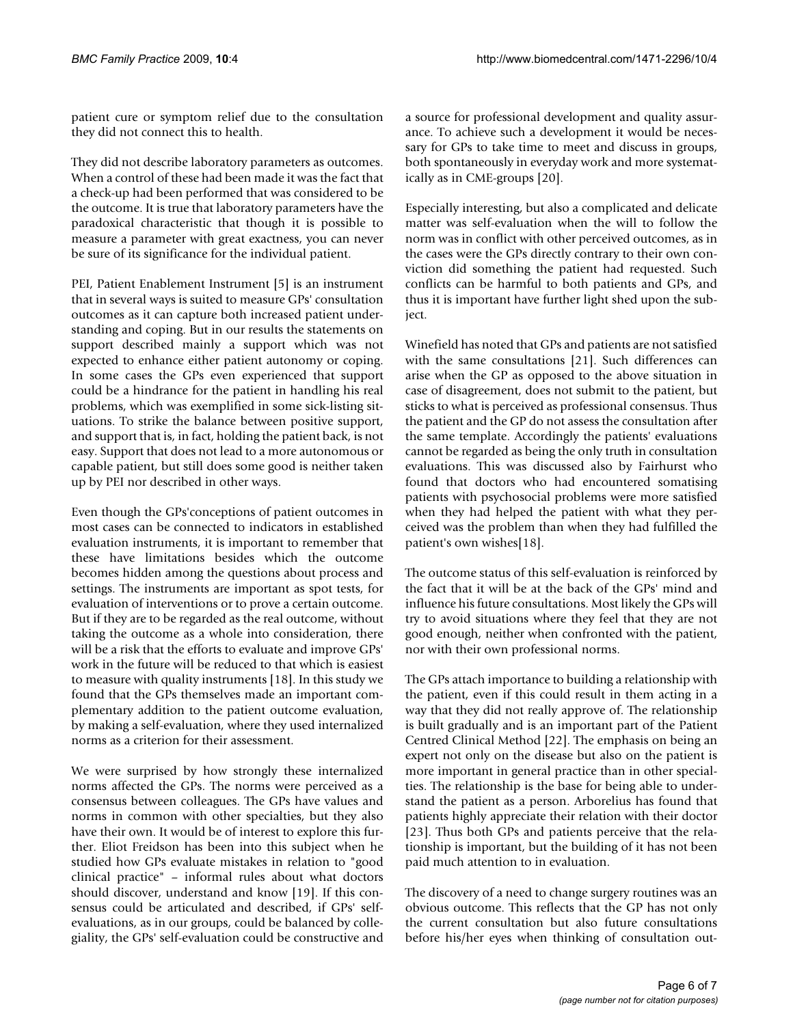patient cure or symptom relief due to the consultation they did not connect this to health.

They did not describe laboratory parameters as outcomes. When a control of these had been made it was the fact that a check-up had been performed that was considered to be the outcome. It is true that laboratory parameters have the paradoxical characteristic that though it is possible to measure a parameter with great exactness, you can never be sure of its significance for the individual patient.

PEI, Patient Enablement Instrument [5] is an instrument that in several ways is suited to measure GPs' consultation outcomes as it can capture both increased patient understanding and coping. But in our results the statements on support described mainly a support which was not expected to enhance either patient autonomy or coping. In some cases the GPs even experienced that support could be a hindrance for the patient in handling his real problems, which was exemplified in some sick-listing situations. To strike the balance between positive support, and support that is, in fact, holding the patient back, is not easy. Support that does not lead to a more autonomous or capable patient, but still does some good is neither taken up by PEI nor described in other ways.

Even though the GPs'conceptions of patient outcomes in most cases can be connected to indicators in established evaluation instruments, it is important to remember that these have limitations besides which the outcome becomes hidden among the questions about process and settings. The instruments are important as spot tests, for evaluation of interventions or to prove a certain outcome. But if they are to be regarded as the real outcome, without taking the outcome as a whole into consideration, there will be a risk that the efforts to evaluate and improve GPs' work in the future will be reduced to that which is easiest to measure with quality instruments [18]. In this study we found that the GPs themselves made an important complementary addition to the patient outcome evaluation, by making a self-evaluation, where they used internalized norms as a criterion for their assessment.

We were surprised by how strongly these internalized norms affected the GPs. The norms were perceived as a consensus between colleagues. The GPs have values and norms in common with other specialties, but they also have their own. It would be of interest to explore this further. Eliot Freidson has been into this subject when he studied how GPs evaluate mistakes in relation to "good clinical practice" – informal rules about what doctors should discover, understand and know [19]. If this consensus could be articulated and described, if GPs' selfevaluations, as in our groups, could be balanced by collegiality, the GPs' self-evaluation could be constructive and

a source for professional development and quality assurance. To achieve such a development it would be necessary for GPs to take time to meet and discuss in groups, both spontaneously in everyday work and more systematically as in CME-groups [20].

Especially interesting, but also a complicated and delicate matter was self-evaluation when the will to follow the norm was in conflict with other perceived outcomes, as in the cases were the GPs directly contrary to their own conviction did something the patient had requested. Such conflicts can be harmful to both patients and GPs, and thus it is important have further light shed upon the subject.

Winefield has noted that GPs and patients are not satisfied with the same consultations [21]. Such differences can arise when the GP as opposed to the above situation in case of disagreement, does not submit to the patient, but sticks to what is perceived as professional consensus. Thus the patient and the GP do not assess the consultation after the same template. Accordingly the patients' evaluations cannot be regarded as being the only truth in consultation evaluations. This was discussed also by Fairhurst who found that doctors who had encountered somatising patients with psychosocial problems were more satisfied when they had helped the patient with what they perceived was the problem than when they had fulfilled the patient's own wishes[18].

The outcome status of this self-evaluation is reinforced by the fact that it will be at the back of the GPs' mind and influence his future consultations. Most likely the GPs will try to avoid situations where they feel that they are not good enough, neither when confronted with the patient, nor with their own professional norms.

The GPs attach importance to building a relationship with the patient, even if this could result in them acting in a way that they did not really approve of. The relationship is built gradually and is an important part of the Patient Centred Clinical Method [22]. The emphasis on being an expert not only on the disease but also on the patient is more important in general practice than in other specialties. The relationship is the base for being able to understand the patient as a person. Arborelius has found that patients highly appreciate their relation with their doctor [23]. Thus both GPs and patients perceive that the relationship is important, but the building of it has not been paid much attention to in evaluation.

The discovery of a need to change surgery routines was an obvious outcome. This reflects that the GP has not only the current consultation but also future consultations before his/her eyes when thinking of consultation out